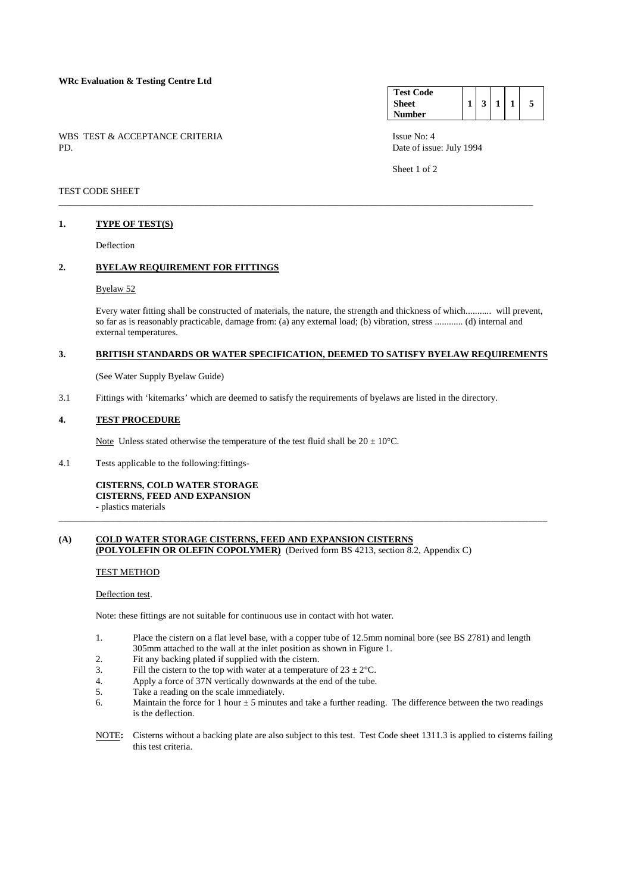### **WRc Evaluation & Testing Centre Ltd**

WBS TEST & ACCEPTANCE CRITERIA ISSUE No: 4<br>PD Date of issue

#### **Test Code Sheet Number**   $1 \mid 3 \mid 1 \mid 1 \mid 5$

Date of issue: July 1994

Sheet 1 of 2

## TEST CODE SHEET

### **1. TYPE OF TEST(S)**

Deflection

## **2. BYELAW REQUIREMENT FOR FITTINGS**

### Byelaw 52

 Every water fitting shall be constructed of materials, the nature, the strength and thickness of which........... will prevent, so far as is reasonably practicable, damage from: (a) any external load; (b) vibration, stress ............ (d) internal and external temperatures.

## **3. BRITISH STANDARDS OR WATER SPECIFICATION, DEEMED TO SATISFY BYELAW REQUIREMENTS**

\_\_\_\_\_\_\_\_\_\_\_\_\_\_\_\_\_\_\_\_\_\_\_\_\_\_\_\_\_\_\_\_\_\_\_\_\_\_\_\_\_\_\_\_\_\_\_\_\_\_\_\_\_\_\_\_\_\_\_\_\_\_\_\_\_\_\_\_\_\_\_\_\_\_\_\_\_\_\_\_\_\_\_\_\_\_\_\_\_\_\_\_\_\_\_\_\_\_\_\_\_

(See Water Supply Byelaw Guide)

3.1 Fittings with 'kitemarks' which are deemed to satisfy the requirements of byelaws are listed in the directory.

#### **4. TEST PROCEDURE**

Note Unless stated otherwise the temperature of the test fluid shall be  $20 \pm 10^{\circ}$ C.

4.1 Tests applicable to the following:fittings-

**CISTERNS, COLD WATER STORAGE CISTERNS, FEED AND EXPANSION**  - plastics materials

## **(A) COLD WATER STORAGE CISTERNS, FEED AND EXPANSION CISTERNS (POLYOLEFIN OR OLEFIN COPOLYMER)** (Derived form BS 4213, section 8.2, Appendix C)

TEST METHOD

#### Deflection test.

Note: these fittings are not suitable for continuous use in contact with hot water.

 1. Place the cistern on a flat level base, with a copper tube of 12.5mm nominal bore (see BS 2781) and length 305mm attached to the wall at the inlet position as shown in Figure 1.<br>
Fit any backing plated if supplied with the cistern

\_\_\_\_\_\_\_\_\_\_\_\_\_\_\_\_\_\_\_\_\_\_\_\_\_\_\_\_\_\_\_\_\_\_\_\_\_\_\_\_\_\_\_\_\_\_\_\_\_\_\_\_\_\_\_\_\_\_\_\_\_\_\_\_\_\_\_\_\_\_\_\_\_\_\_\_\_\_\_\_\_\_\_\_\_\_\_\_\_\_\_\_\_\_\_\_\_\_\_\_\_\_\_\_

- Fit any backing plated if supplied with the cistern.
- 3. Fill the cistern to the top with water at a temperature of  $23 \pm 2^{\circ}$ C.
- 4. Apply a force of 37N vertically downwards at the end of the tube.
- 5. Take a reading on the scale immediately.
- 6. Maintain the force for 1 hour  $\pm 5$  minutes and take a further reading. The difference between the two readings is the deflection.
- NOTE**:** Cisterns without a backing plate are also subject to this test. Test Code sheet 1311.3 is applied to cisterns failing this test criteria.